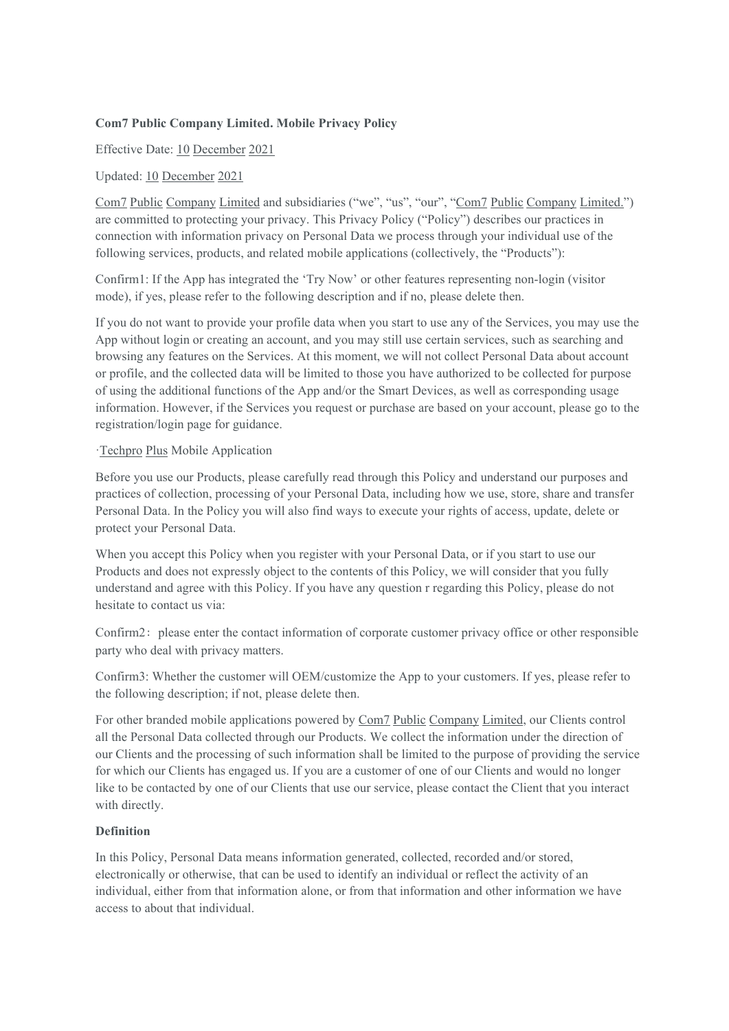# **Com7 Public Company Limited. Mobile Privacy Policy**

Effective Date: 10 December 2021

# Updated: 10 December 2021

Com7 Public Company Limited and subsidiaries ("we", "us", "our", "Com7 Public Company Limited.") are committed to protecting your privacy. This Privacy Policy ("Policy") describes our practices in connection with information privacy on Personal Data we process through your individual use of the following services, products, and related mobile applications (collectively, the "Products"):

Confirm1: If the App has integrated the 'Try Now' or other features representing non-login (visitor mode), if yes, please referto the following description and if no, please delete then.

If you do not want to provide your profile data when you start to use any of the Services, you may use the App without login or creating an account, and you may still use certain services, such as searching and browsing any features on the Services. At this moment, we will not collect Personal Data about account or profile, and the collected data will be limited to those you have authorized to be collected for purpose of using the additional functions of the App and/or the Smart Devices, as well as corresponding usage information. However, if the Services you request or purchase are based on your account, please go to the registration/login page for guidance.

### ·Techpro Plus Mobile Application

Before you use our Products, please carefully read through this Policy and understand our purposes and practices of collection, processing of your Personal Data, including how we use, store, share and transfer Personal Data. In the Policy you will also find ways to execute your rights of access, update, delete or protect your Personal Data.

When you accept this Policy when you register with your Personal Data, or if you start to use our Products and does not expressly object to the contents of this Policy, we will consider that you fully understand and agree with this Policy. If you have any question r regarding this Policy, please do not hesitate to contact us via:

Confirm2: please enter the contact information of corporate customer privacy office or other responsible party who deal with privacy matters.

Confirm3: Whether the customer will OEM/customize the App to your customers. If yes, please referto the following description; if not, please delete then.

For other branded mobile applications powered by Com7 Public Company Limited, our Clients control all the Personal Data collected through our Products. We collect the information under the direction of our Clients and the processing of such information shall be limited to the purpose of providing the service for which our Clients has engaged us. If you are a customer of one of our Clients and would no longer like to be contacted by one of our Clients that use our service, please contact the Client that you interact with directly.

### **Definition**

In this Policy, Personal Data means information generated, collected, recorded and/or stored, electronically or otherwise, that can be used to identify an individual or reflect the activity of an individual, either from that information alone, or from that information and other information we have access to about that individual.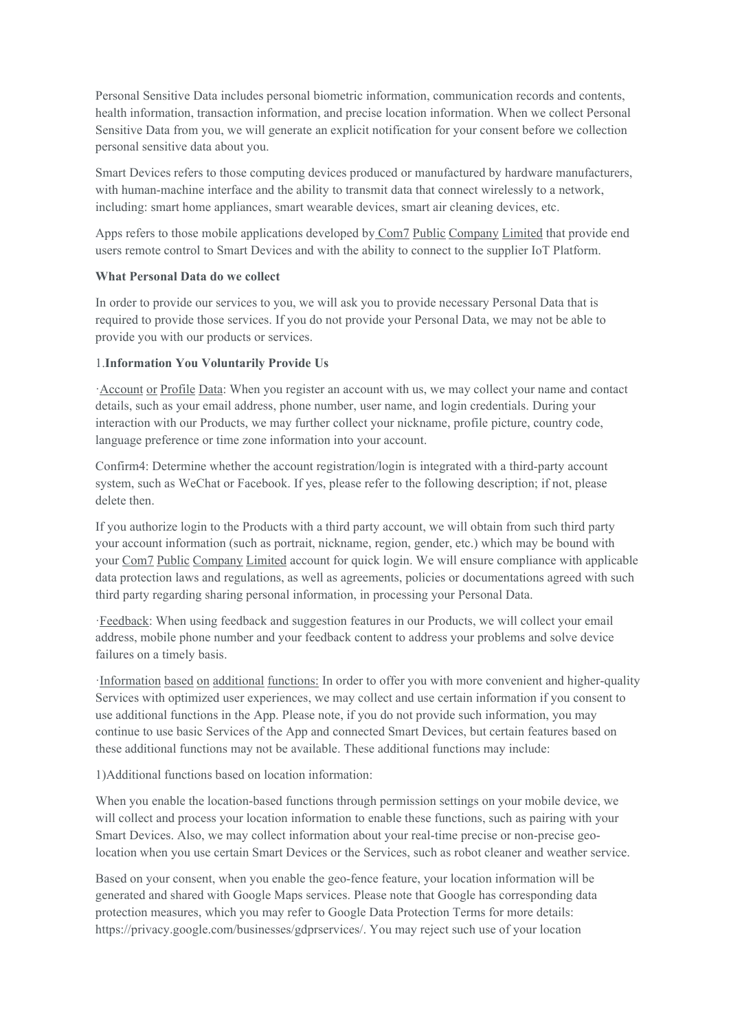Personal Sensitive Data includes personal biometric information, communication records and contents, health information, transaction information, and precise location information. When we collect Personal Sensitive Data from you, we will generate an explicit notification for your consent before we collection personal sensitive data about you.

Smart Devices refers to those computing devices produced or manufactured by hardware manufacturers, with human-machine interface and the ability to transmit data that connect wirelessly to a network, including: smart home appliances, smart wearable devices, smart air cleaning devices, etc.

Apps refers to those mobile applications developed by Com7 Public Company Limited that provide end users remote control to Smart Devices and with the ability to connect to the supplier IoT Platform.

#### **What Personal Data do we collect**

In order to provide our services to you, we will ask you to provide necessary Personal Data that is required to provide those services. If you do not provide your Personal Data, we may not be able to provide you with our products or services.

#### 1.**Information You Voluntarily Provide Us**

·Account or Profile Data: When you register an account with us, we may collect your name and contact details, such as youremail address, phone number, user name, and login credentials. During your interaction with our Products, we may further collect your nickname, profile picture, country code, language preference or time zone information into your account.

Confirm4: Determine whether the account registration/login is integrated with a third-party account system, such as WeChat or Facebook. If yes, please refer to the following description; if not, please delete then.

If you authorize login to the Products with a third party account, we will obtain from such third party your account information (such as portrait, nickname, region, gender, etc.) which may be bound with your Com7 Public Company Limited account for quick login. We will ensure compliance with applicable data protection laws and regulations, as well as agreements, policies or documentations agreed with such third party regarding sharing personal information, in processing your Personal Data.

·Feedback: When using feedback and suggestion features in our Products, we will collect your email address, mobile phone number and your feedback content to address your problems and solve device failures on a timely basis.

·Information based on additionalfunctions: In order to offer you with more convenient and higher-quality Services with optimized user experiences, we may collect and use certain information if you consent to use additional functions in the App. Please note, if you do not provide such information, you may continue to use basic Services ofthe App and connected Smart Devices, but certain features based on these additional functions may not be available. These additional functions may include:

1)Additional functions based on location information:

When you enable the location-based functions through permission settings on your mobile device, we will collect and process your location information to enable these functions, such as pairing with your Smart Devices. Also, we may collect information about your real-time precise or non-precise geolocation when you use certain Smart Devices orthe Services, such as robot cleaner and weather service.

Based on your consent, when you enable the geo-fence feature, your location information will be generated and shared with Google Maps services. Please note that Google has corresponding data protection measures, which you may refer to Google Data Protection Terms for more details: https://privacy.google.com/businesses/gdprservices/. You may reject such use of your location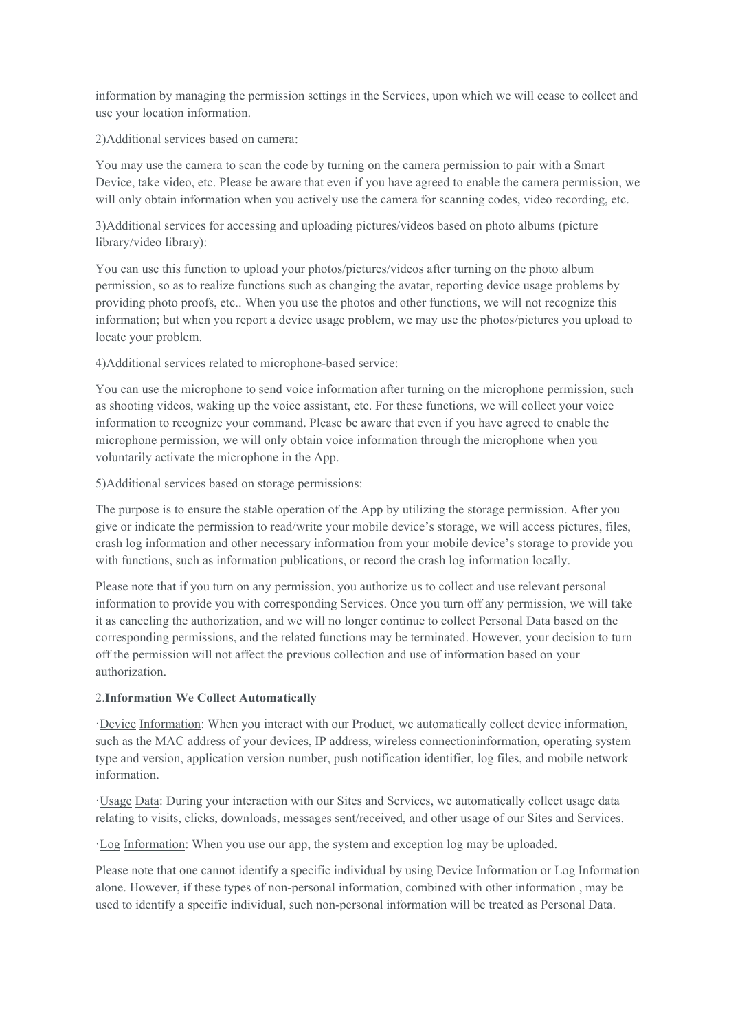information by managing the permission settings in the Services, upon which we will cease to collect and use your location information.

2)Additional services based on camera:

You may use the camera to scan the code by turning on the camera permission to pair with a Smart Device, take video, etc. Please be aware that even if you have agreed to enable the camera permission, we will only obtain information when you actively use the camera for scanning codes, video recording, etc.

3)Additional services for accessing and uploading pictures/videos based on photo albums (picture library/video library):

You can use this function to upload your photos/pictures/videos after turning on the photo album permission, so as to realize functions such as changing the avatar, reporting device usage problems by providing photo proofs, etc.. When you use the photos and other functions, we will not recognize this information; but when you report a device usage problem, we may use the photos/pictures you upload to locate your problem.

4)Additional services related to microphone-based service:

You can use the microphone to send voice information after turning on the microphone permission, such as shooting videos, waking up the voice assistant, etc. For these functions, we will collect your voice information to recognize yourcommand. Please be aware that even if you have agreed to enable the microphone permission, we will only obtain voice information through the microphone when you voluntarily activate the microphone in the App.

5)Additional services based on storage permissions:

The purpose is to ensure the stable operation of the App by utilizing the storage permission. After you give or indicate the permission to read/write your mobile device's storage, we will access pictures, files, crash log information and other necessary information from your mobile device's storage to provide you with functions, such as information publications, or record the crash log information locally.

Please note that if you turn on any permission, you authorize us to collect and use relevant personal information to provide you with corresponding Services. Once you turn off any permission, we will take it as canceling the authorization, and we will no longer continue to collect Personal Data based on the corresponding permissions, and the related functions may be terminated. However, your decision to turn off the permission will not affect the previous collection and use of information based on your authorization.

# 2.**Information We Collect Automatically**

·Device Information: When you interact with our Product, we automatically collect device information, such as the MAC address ofyour devices, IP address, wireless connectioninformation, operating system type and version, application version number, push notification identifier, log files, and mobile network information.

·Usage Data: During your interaction with our Sites and Services, we automatically collect usage data relating to visits, clicks, downloads, messages sent/received, and other usage of our Sites and Services.

·Log Information: When you use ourapp, the system and exception log may be uploaded.

Please note that one cannot identify a specific individual by using Device Information or Log Information alone. However, if these types of non-personal information, combined with other information , may be used to identify a specific individual, such non-personal information will be treated as Personal Data.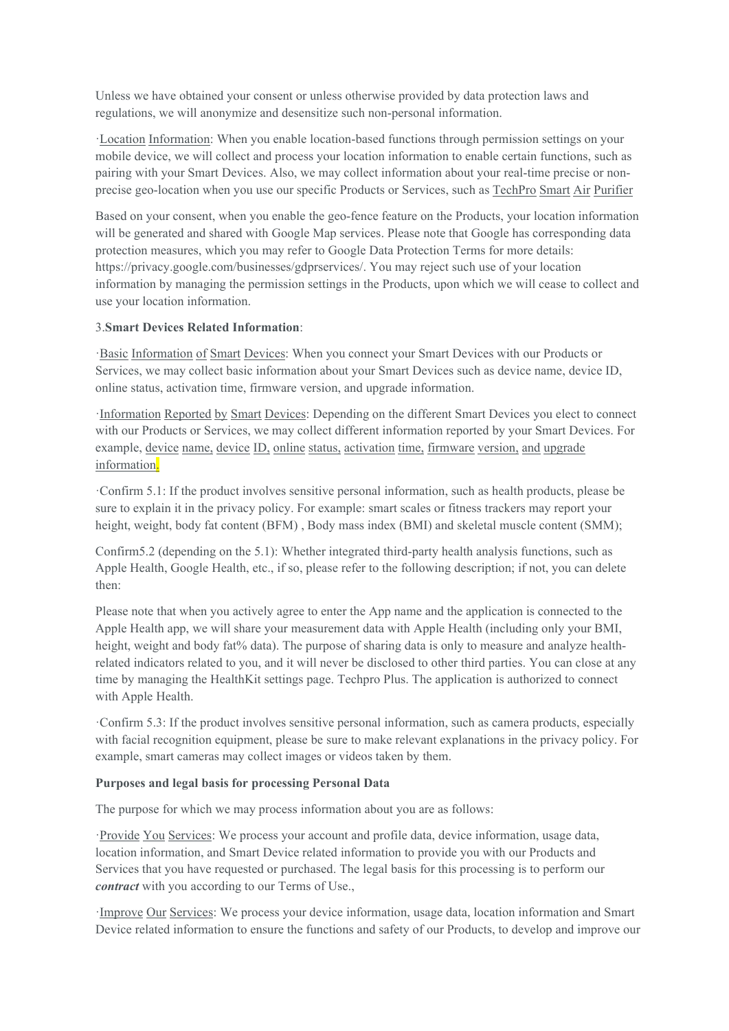Unless we have obtained your consent or unless otherwise provided by data protection laws and regulations, we will anonymize and desensitize such non-personal information.

·Location Information: When you enable location-based functions through permission settings on your mobile device, we will collect and process your location information to enable certain functions, such as pairing with your Smart Devices. Also, we may collect information about your real-time precise or non precise geo-location when you use our specific Products or Services, such as TechPro Smart Air Purifier

Based on your consent, when you enable the geo-fence feature on the Products, your location information will be generated and shared with Google Map services. Please note that Google has corresponding data protection measures, which you may refer to Google Data Protection Terms for more details: https://privacy.google.com/businesses/gdprservices/. You may reject such use of your location information by managing the permission settings in the Products, upon which we will cease to collect and use your location information.

#### 3.**Smart Devices Related Information**:

·Basic Information of Smart Devices: When you connect your Smart Devices with our Products or Services, we may collect basic information about your Smart Devices such as device name, device ID, online status, activation time, firmware version, and upgrade information.

·Information Reported by Smart Devices: Depending on the different Smart Devices you elect to connect with our Products or Services, we may collect different information reported by your Smart Devices. For example, device name, device ID, online status, activation time, firmware version, and upgrade information.

·Confirm 5.1: If the product involves sensitive personal information, such as health products, please be sure to explain it in the privacy policy. For example: smart scales or fitness trackers may report your height, weight, body fat content (BFM), Body mass index (BMI) and skeletal muscle content (SMM);

Confirm5.2 (depending on the 5.1): Whether integrated third-party health analysis functions, such as Apple Health, Google Health, etc., if so, please refer to the following description; if not, you can delete then:

Please note that when you actively agree to enter the App name and the application is connected to the Apple Health app, we will share your measurement data with Apple Health (including only your BMI, height, weight and body fat% data). The purpose of sharing data is only to measure and analyze healthrelated indicators related to you, and it will never be disclosed to other third parties. You can close at any time by managing the HealthKit settings page. Techpro Plus. The application is authorized to connect with Apple Health.

·Confirm 5.3: If the product involves sensitive personal information, such as camera products, especially with facial recognition equipment, please be sure to make relevant explanations in the privacy policy. For example, smart cameras may collect images or videos taken by them.

#### **Purposes and legal basis for processing Personal Data**

The purpose for which we may process information about you are as follows:

·Provide You Services: We process your account and profile data, device information, usage data, location information, and Smart Device related information to provide you with our Products and Services that you have requested or purchased. The legal basis for this processing is to perform our *contract* with you according to our Terms of Use.,

·Improve Our Services: We process your device information, usage data, location information and Smart Device related information to ensure the functions and safety of our Products, to develop and improve our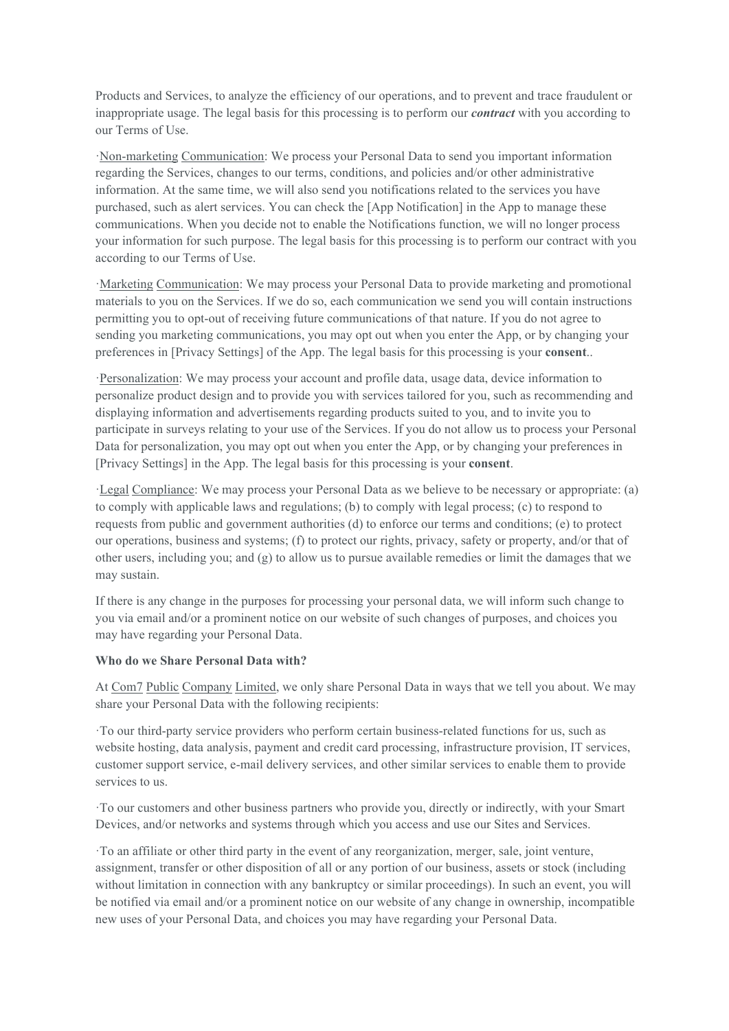Products and Services, to analyze the efficiency of our operations, and to preventand trace fraudulent or inappropriate usage. The legal basis for this processing is to perform our *contract* with you according to our Terms of Use.

·Non-marketing Communication: We process your Personal Data to send you importantinformation regarding the Services, changes to our terms, conditions, and policies and/or other administrative information. At the same time, we will also send you notifications related to the services you have purchased, such as alert services. You can check the [App Notification] in the App to manage these communications. When you decide not to enable the Notifications function, we will no longer process your information for such purpose. The legal basis for this processing is to perform our contract with you according to our Terms of Use.

·Marketing Communication: We may process your Personal Data to provide marketing and promotional materials to you on the Services. If we do so, each communication we send you will contain instructions permitting you to opt-outof receiving future communications ofthat nature. If you do not agree to sending you marketing communications, you may opt out when you enter the App, or by changing your preferences in [Privacy Settings] of the App. The legal basis for this processing is your **consent**..

·Personalization: We may process your account and profile data, usage data, device information to personalize product design and to provide you with services tailored for you, such as recommending and displaying information and advertisements regarding products suited to you, and to invite you to participate in surveys relating to your use of the Services. If you do not allow us to process your Personal Data for personalization, you may opt out when you enter the App, or by changing your preferences in [Privacy Settings] in the App. The legal basis for this processing is your **consent**.

·Legal Compliance: We may process your Personal Data aswe believe to be necessary or appropriate: (a) to comply with applicable laws and regulations; (b) to comply with legalprocess; (c) to respond to requests from public and government authorities (d) to enforce our terms and conditions; (e) to protect our operations, business and systems; (f) to protect our rights, privacy, safety or property, and/or that of other users, including you; and  $(g)$  to allow us to pursue available remedies or limit the damages that we may sustain.

If there is any change in the purposes for processing your personal data, we will inform such change to you via email and/or a prominent notice on our website of such changes of purposes, and choices you may have regarding your Personal Data.

### **Who do we Share Personal Data with?**

At Com7 Public Company Limited, we only share Personal Data in ways that we tell you about. We may share your Personal Data with the following recipients:

·To our third-party service providers who perform certain business-related functions for us, such as website hosting, data analysis, payment and credit card processing, infrastructure provision, IT services, customer support service, e-mail delivery services, and other similar services to enable them to provide services to us.

·To our customers and other business partners who provide you, directly or indirectly, with your Smart Devices, and/or networks and systems through which you access and use our Sites and Services.

·To an affiliate or other third party in the event of any reorganization, merger, sale, joint venture, assignment, transfer or other disposition of all or any portion of our business, assets or stock (including without limitation in connection with any bankruptcy or similar proceedings). In such an event, you will be notified via email and/or a prominent notice on our website of any change in ownership, incompatible new uses of your Personal Data, and choices you may have regarding your Personal Data.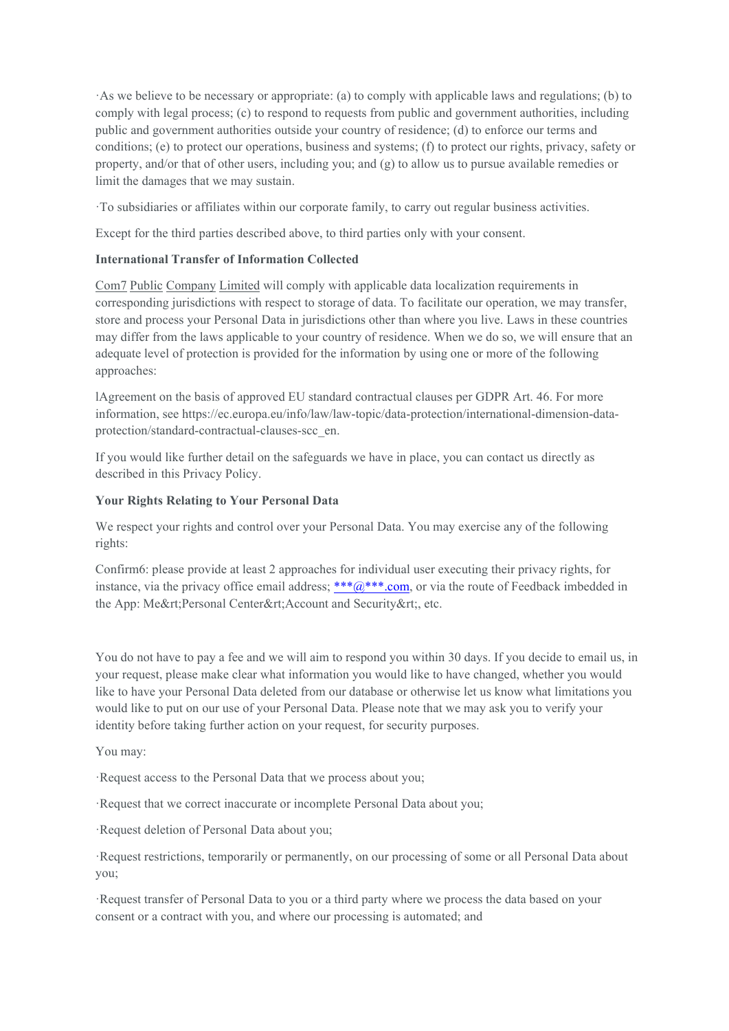·As we believe to be necessary or appropriate: (a) to comply with applicable laws and regulations; (b) to comply with legal process; (c) to respond to requests from public and government authorities, including public and government authorities outside yourcountry of residence; (d) to enforce our terms and conditions; (e) to protect our operations, business and systems; (f) to protect our rights, privacy, safety or property, and/or that of other users, including you; and (g) to allow us to pursue available remedies or limit the damages that we may sustain.

·To subsidiaries oraffiliates within our corporate family, to carry out regular business activities.

Except for the third parties described above, to third parties only with your consent.

### **International Transfer of Information Collected**

Com7 Public Company Limited will comply with applicable data localization requirements in corresponding jurisdictions with respect to storage of data. To facilitate our operation, we may transfer, store and process your Personal Data in jurisdictions other than where you live. Laws in these countries may differ from the laws applicable to your country of residence. When we do so, we will ensure that an adequate level of protection is provided for the information by using one or more of the following approaches:

lAgreement on the basis of approved EU standard contractual clauses per GDPR Art. 46. For more information, see https://ec.europa.eu/info/law/law-topic/data-protection/international-dimension-data protection/standard-contractual-clauses-scc\_en.

If you would like further detail on the safeguards we have in place, you can contact us directly as described in this Privacy Policy.

# **Your Rights Relating to Your Personal Data**

We respect your rights and control over your Personal Data. You may exercise any of the following rights:

Confirm6: please provide at least 2 approaches for individual user executing their privacy rights, for instance, via the privacy office email address; \*\*\* $\omega$ \*\*\*.com, or via the route of Feedback imbedded in the App: Me&rt;Personal Center&rt;Account and Security&rt;, etc.

You do not have to pay a fee and we will aim to respond you within 30 days. If you decide to email us, in your request, please make clear what information you would like to have changed, whether you would like to have your Personal Data deleted from our database or otherwise let us know what limitations you would like to put on our use of your Personal Data. Please note that we may ask you to verify your identity before taking further action on your request, for security purposes.

You may:

·Request access to the Personal Data that we process about you;

·Request that we correct inaccurate or incomplete Personal Data about you;

·Request deletion of Personal Data about you;

·Request restrictions, temporarily or permanently, on our processing of some or all Personal Data about you;

·Request transfer of Personal Data to you or a third party where we process the data based on your consent or a contract with you, and where our processing is automated; and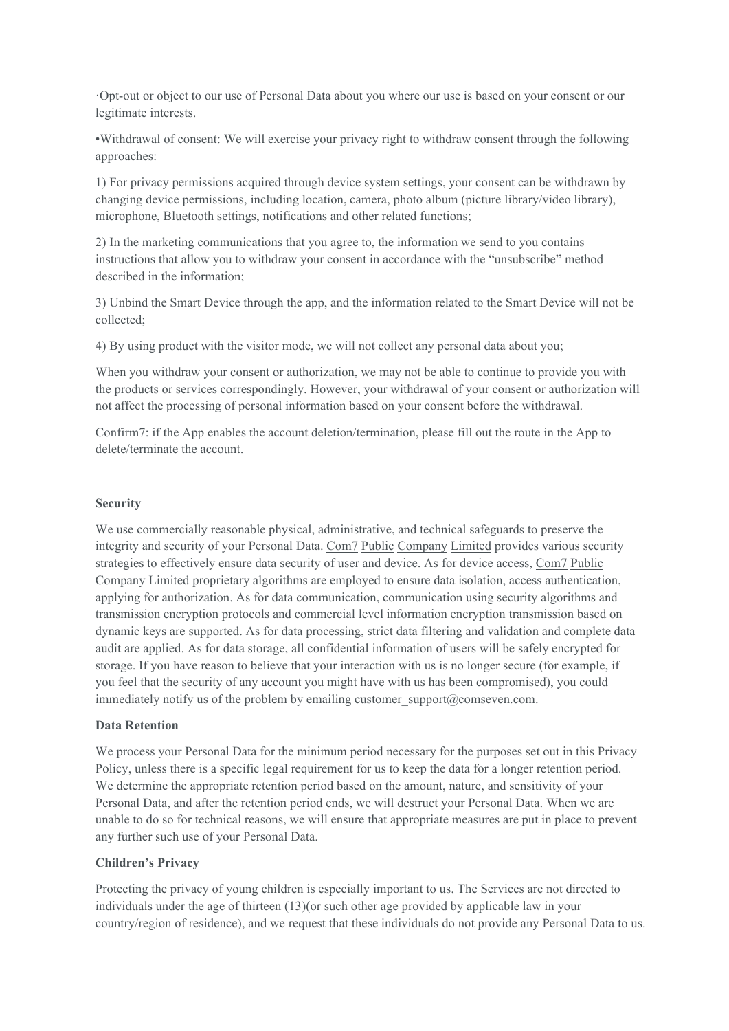·Opt-out or object to our use of Personal Data about you where our use is based on your consent or our legitimate interests.

•Withdrawal of consent: We will exercise yourprivacy right to withdraw consent through the following approaches:

1) For privacy permissions acquired through device system settings, your consent can be withdrawn by changing device permissions, including location, camera, photo album (picture library/video library), microphone, Bluetooth settings, notifications and other related functions;

2) In the marketing communications that you agree to, the information we send to you contains instructions that allow you to withdraw your consent in accordance with the "unsubscribe" method described in the information;

3) Unbind the Smart Device through the app, and the information related to the Smart Device will not be collected;

4) By using product with the visitor mode, we will not collect any personal data about you;

When you withdraw your consent or authorization, we may not be able to continue to provide you with the products orservices correspondingly. However, your withdrawal of your consent or authorization will not affect the processing of personal information based on your consent before the withdrawal.

Confirm7: if the App enables the account deletion/termination, please fill out the route in the App to delete/terminate the account.

#### **Security**

We use commercially reasonable physical, administrative, and technical safeguards to preserve the integrity and security of your Personal Data. Com7 Public Company Limited provides various security strategies to effectively ensure data security of user and device. As for device access, Com7 Public Company Limited proprietary algorithms are employed to ensure data isolation, access authentication, applying for authorization. As for data communication, communication using security algorithms and transmission encryption protocols and commercial level information encryption transmission based on dynamic keys are supported. As for data processing, strict data filtering and validation and complete data audit are applied. As for data storage, all confidential information of users will be safely encrypted for storage. If you have reason to believe that your interaction with us isno longer secure (for example, if you feel that the security of any account you might have with us has been compromised), you could immediately notify us of the problem by emailing customer support $@$ comseven.com.

### **Data Retention**

We process your Personal Data for the minimum period necessary for the purposes set out in this Privacy Policy, unless there is a specific legal requirement for us to keep the data for a longer retention period. We determine the appropriate retention period based on the amount, nature, and sensitivity of your Personal Data, and after the retention period ends, we will destruct your Personal Data. When we are unable to do so for technical reasons, we will ensure that appropriate measures are put in place to prevent any further such use of your Personal Data.

### **Children's Privacy**

Protecting the privacy of young children is especially important to us. The Services are not directed to individuals under the age of thirteen (13)(or such other age provided by applicable law in your country/region of residence), and we request that these individuals do not provide any Personal Data to us.